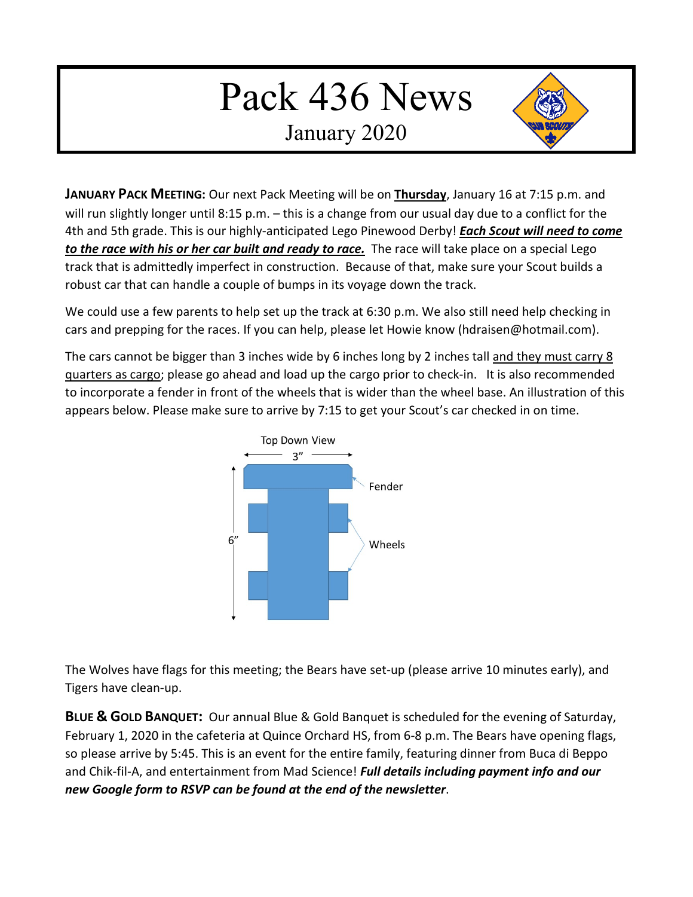## Pack 436 News

January 2020



**JANUARY PACK MEETING:** Our next Pack Meeting will be on **Thursday**, January 16 at 7:15 p.m. and will run slightly longer until 8:15 p.m. – this is a change from our usual day due to a conflict for the 4th and 5th grade. This is our highly-anticipated Lego Pinewood Derby! *Each Scout will need to come to the race with his or her car built and ready to race.* The race will take place on a special Lego track that is admittedly imperfect in construction. Because of that, make sure your Scout builds a robust car that can handle a couple of bumps in its voyage down the track.

We could use a few parents to help set up the track at 6:30 p.m. We also still need help checking in cars and prepping for the races. If you can help, please let Howie know (hdraisen@hotmail.com).

The cars cannot be bigger than 3 inches wide by 6 inches long by 2 inches tall and they must carry 8 quarters as cargo; please go ahead and load up the cargo prior to check-in. It is also recommended to incorporate a fender in front of the wheels that is wider than the wheel base. An illustration of this appears below. Please make sure to arrive by 7:15 to get your Scout's car checked in on time.



The Wolves have flags for this meeting; the Bears have set-up (please arrive 10 minutes early), and Tigers have clean-up.

**BLUE & GOLD BANQUET:** Our annual Blue & Gold Banquet is scheduled for the evening of Saturday, February 1, 2020 in the cafeteria at Quince Orchard HS, from 6-8 p.m. The Bears have opening flags, so please arrive by 5:45. This is an event for the entire family, featuring dinner from Buca di Beppo and Chik-fil-A, and entertainment from Mad Science! *Full details including payment info and our new Google form to RSVP can be found at the end of the newsletter*.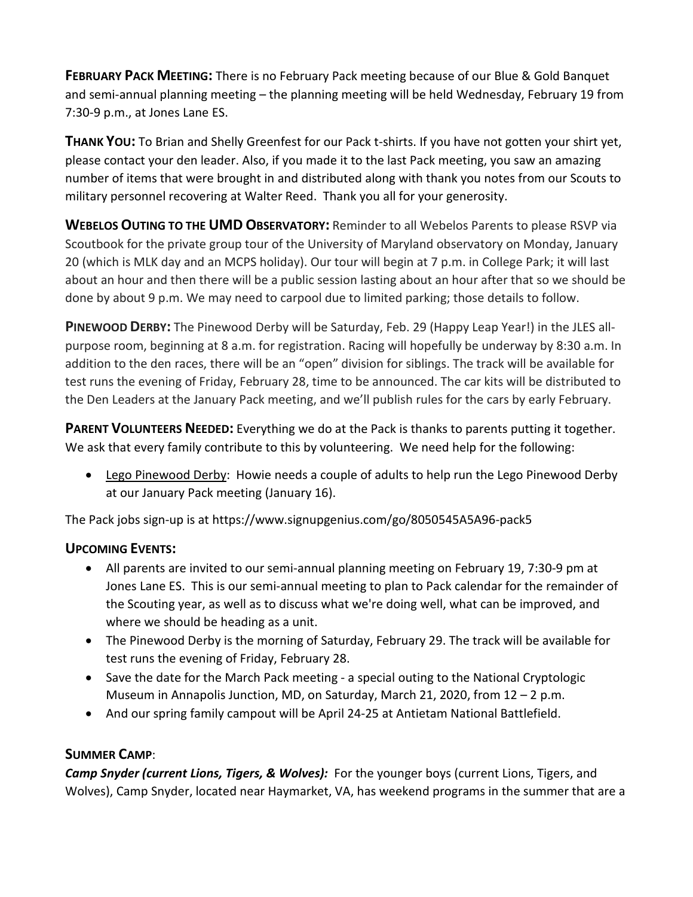**FEBRUARY PACK MEETING:** There is no February Pack meeting because of our Blue & Gold Banquet and semi-annual planning meeting – the planning meeting will be held Wednesday, February 19 from 7:30-9 p.m., at Jones Lane ES.

**THANK YOU:** To Brian and Shelly Greenfest for our Pack t-shirts. If you have not gotten your shirt yet, please contact your den leader. Also, if you made it to the last Pack meeting, you saw an amazing number of items that were brought in and distributed along with thank you notes from our Scouts to military personnel recovering at Walter Reed. Thank you all for your generosity.

**WEBELOS OUTING TO THE UMD OBSERVATORY:** Reminder to all Webelos Parents to please RSVP via Scoutbook for the private group tour of the University of Maryland observatory on Monday, January 20 (which is MLK day and an MCPS holiday). Our tour will begin at 7 p.m. in College Park; it will last about an hour and then there will be a public session lasting about an hour after that so we should be done by about 9 p.m. We may need to carpool due to limited parking; those details to follow.

**PINEWOOD DERBY:** The Pinewood Derby will be Saturday, Feb. 29 (Happy Leap Year!) in the JLES allpurpose room, beginning at 8 a.m. for registration. Racing will hopefully be underway by 8:30 a.m. In addition to the den races, there will be an "open" division for siblings. The track will be available for test runs the evening of Friday, February 28, time to be announced. The car kits will be distributed to the Den Leaders at the January Pack meeting, and we'll publish rules for the cars by early February.

PARENT VOLUNTEERS NEEDED: Everything we do at the Pack is thanks to parents putting it together. We ask that every family contribute to this by volunteering. We need help for the following:

• Lego Pinewood Derby: Howie needs a couple of adults to help run the Lego Pinewood Derby at our January Pack meeting (January 16).

The Pack jobs sign-up is at https://www.signupgenius.com/go/8050545A5A96-pack5

## **UPCOMING EVENTS:**

- All parents are invited to our semi-annual planning meeting on February 19, 7:30-9 pm at Jones Lane ES. This is our semi-annual meeting to plan to Pack calendar for the remainder of the Scouting year, as well as to discuss what we're doing well, what can be improved, and where we should be heading as a unit.
- The Pinewood Derby is the morning of Saturday, February 29. The track will be available for test runs the evening of Friday, February 28.
- Save the date for the March Pack meeting a special outing to the National Cryptologic Museum in Annapolis Junction, MD, on Saturday, March 21, 2020, from  $12 - 2$  p.m.
- And our spring family campout will be April 24-25 at Antietam National Battlefield.

## **SUMMER CAMP**:

*Camp Snyder (current Lions, Tigers, & Wolves):* For the younger boys (current Lions, Tigers, and Wolves), Camp Snyder, located near Haymarket, VA, has weekend programs in the summer that are a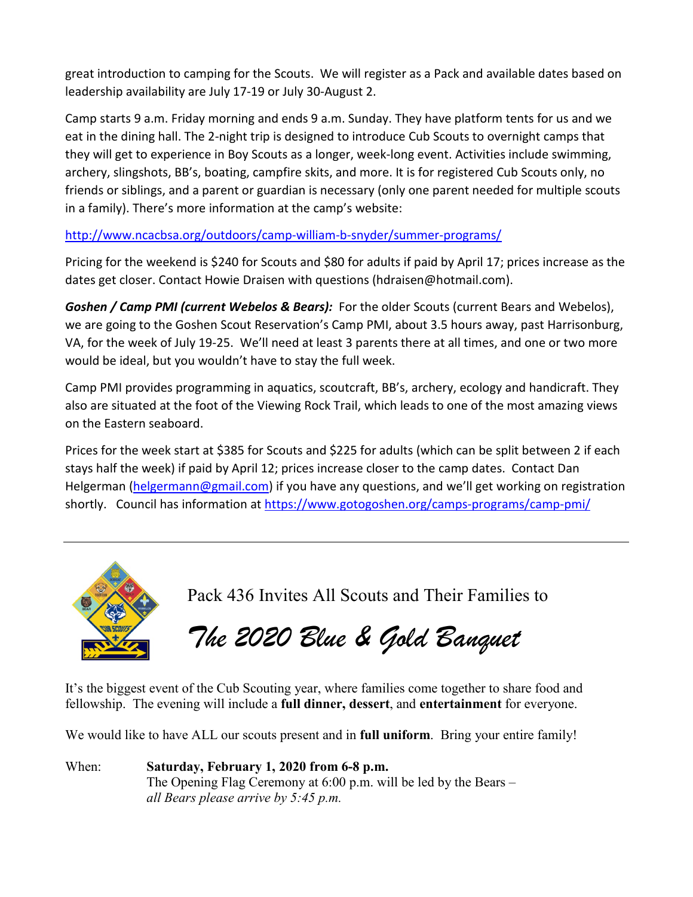great introduction to camping for the Scouts. We will register as a Pack and available dates based on leadership availability are July 17-19 or July 30-August 2.

Camp starts 9 a.m. Friday morning and ends 9 a.m. Sunday. They have platform tents for us and we eat in the dining hall. The 2-night trip is designed to introduce Cub Scouts to overnight camps that they will get to experience in Boy Scouts as a longer, week-long event. Activities include swimming, archery, slingshots, BB's, boating, campfire skits, and more. It is for registered Cub Scouts only, no friends or siblings, and a parent or guardian is necessary (only one parent needed for multiple scouts in a family). There's more information at the camp's website:

[http://www.ncacbsa.org/outdoors/camp-william-b-snyder/summer-programs/](about:blank)

Pricing for the weekend is \$240 for Scouts and \$80 for adults if paid by April 17; prices increase as the dates get closer. Contact Howie Draisen with questions (hdraisen@hotmail.com).

*Goshen / Camp PMI (current Webelos & Bears):* For the older Scouts (current Bears and Webelos), we are going to the Goshen Scout Reservation's Camp PMI, about 3.5 hours away, past Harrisonburg, VA, for the week of July 19-25. We'll need at least 3 parents there at all times, and one or two more would be ideal, but you wouldn't have to stay the full week.

Camp PMI provides programming in aquatics, scoutcraft, BB's, archery, ecology and handicraft. They also are situated at the foot of the Viewing Rock Trail, which leads to one of the most amazing views on the Eastern seaboard.

Prices for the week start at \$385 for Scouts and \$225 for adults (which can be split between 2 if each stays half the week) if paid by April 12; prices increase closer to the camp dates. Contact Dan Helgerman [\(helgermann@gmail.com\)](about:blank) if you have any questions, and we'll get working on registration shortly. Council has information a[t https://www.gotogoshen.org/camps-programs/camp-pmi/](about:blank)



Pack 436 Invites All Scouts and Their Families to

*The 2020 Blue & Gold Banquet*

It's the biggest event of the Cub Scouting year, where families come together to share food and fellowship. The evening will include a **full dinner, dessert**, and **entertainment** for everyone.

We would like to have ALL our scouts present and in **full uniform**. Bring your entire family!

When: **Saturday, February 1, 2020 from 6-8 p.m.** The Opening Flag Ceremony at 6:00 p.m. will be led by the Bears – *all Bears please arrive by 5:45 p.m.*